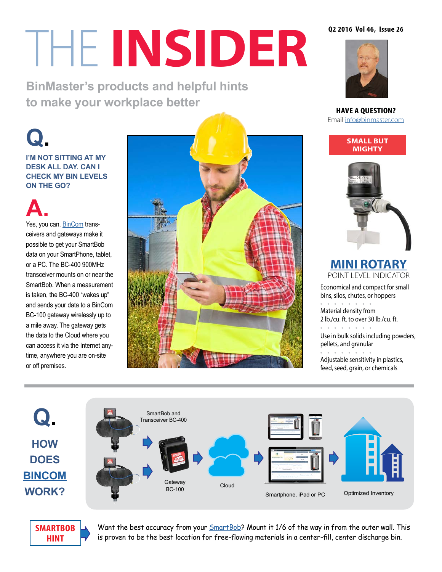# THE **INSIDER**

**BinMaster's products and helpful hints to make your workplace better** 

**I'M NOT SITTING AT MY DESK ALL DAY. CAN I CHECK MY BIN LEVELS ON THE GO?**

# **A.**<br>Yes, you can. <u>BinCom</u> trans-

ceivers and gateways make it possible to get your SmartBob data on your SmartPhone, tablet, or a PC. The BC-400 900MHz transceiver mounts on or near the SmartBob. When a measurement is taken, the BC-400 "wakes up" and sends your data to a BinCom BC-100 gateway wirelessly up to a mile away. The gateway gets the data to the Cloud where you can access it via the Internet anytime, anywhere you are on-site or off premises.



#### **Q2 2016 Vol 46, Issue 26**



**HAVE A QUESTION?** Email [info@binmaster.com](mailto:info%40binmaster.com?subject=)

> **SMALL BUT MIGHTY**



**[MINI ROTARY](http://www.binmaster.com/products/info/54-rotary/2930-mini-rotary)** POINT LEVEL INDICATOR

Economical and compact for small bins, silos, chutes, or hoppers • • • • • • • • Material density from 2 lb./cu. ft. to over 30 lb./cu. ft. • • • • • • • • Use in bulk solids including powders, pellets, and granular  $\bullet$  •  $\bullet$  •  $\bullet$  •  $\bullet$  •  $\bullet$  •

Adjustable sensitivity in plastics, feed, seed, grain, or chemicals





Want the best accuracy from your **SmartBob?** Mount it 1/6 of the way in from the outer wall. This is proven to be the best location for free-flowing materials in a center-fill, center discharge bin.